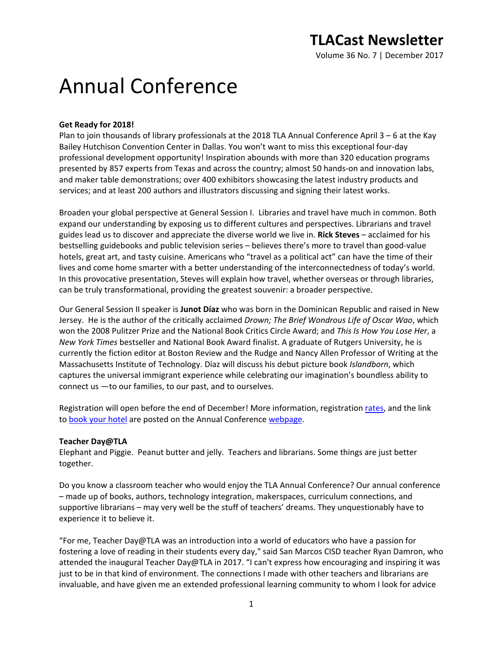Volume 36 No. 7 | December 2017

# Annual Conference

# **Get Ready for 2018!**

Plan to join thousands of library professionals at the 2018 TLA Annual Conference April 3 – 6 at the Kay Bailey Hutchison Convention Center in Dallas. You won't want to miss this exceptional four-day professional development opportunity! Inspiration abounds with more than 320 education programs presented by 857 experts from Texas and across the country; almost 50 hands-on and innovation labs, and maker table demonstrations; over 400 exhibitors showcasing the latest industry products and services; and at least 200 authors and illustrators discussing and signing their latest works.

Broaden your global perspective at General Session I. Libraries and travel have much in common. Both expand our understanding by exposing us to different cultures and perspectives. Librarians and travel guides lead us to discover and appreciate the diverse world we live in. **Rick Steves** – acclaimed for his bestselling guidebooks and public television series – believes there's more to travel than good-value hotels, great art, and tasty cuisine. Americans who "travel as a political act" can have the time of their lives and come home smarter with a better understanding of the interconnectedness of today's world. In this provocative presentation, Steves will explain how travel, whether overseas or through libraries, can be truly transformational, providing the greatest souvenir: a broader perspective.

Our General Session II speaker is **Junot Díaz** who was born in the Dominican Republic and raised in New Jersey. He is the author of the critically acclaimed *Drown; The Brief Wondrous Life of Oscar Wao*, which won the 2008 Pulitzer Prize and the National Book Critics Circle Award; and *This Is How You Lose Her*, a *New York Times* bestseller and National Book Award finalist. A graduate of Rutgers University, he is currently the fiction editor at Boston Review and the Rudge and Nancy Allen Professor of Writing at the Massachusetts Institute of Technology. Díaz will discuss his debut picture book *Islandborn*, which captures the universal immigrant experience while celebrating our imagination's boundless ability to connect us —to our families, to our past, and to ourselves.

Registration will open before the end of December! More information, registration [rates,](http://www.txla.org/sites/tla/files/Dallas%202018%20Reg%20Rates.pdf) and the link to [book your hotel](https://compass.onpeak.com/e/62TLA18/0) are posted on the Annual Conference [webpage.](http://www.txla.org/annual-conference)

## **Teacher Day@TLA**

Elephant and Piggie. Peanut butter and jelly. Teachers and librarians. Some things are just better together.

Do you know a classroom teacher who would enjoy the TLA Annual Conference? Our annual conference – made up of books, authors, technology integration, makerspaces, curriculum connections, and supportive librarians – may very well be the stuff of teachers' dreams. They unquestionably have to experience it to believe it.

"For me, Teacher Day@TLA was an introduction into a world of educators who have a passion for fostering a love of reading in their students every day," said San Marcos CISD teacher Ryan Damron, who attended the inaugural Teacher Day@TLA in 2017. "I can't express how encouraging and inspiring it was just to be in that kind of environment. The connections I made with other teachers and librarians are invaluable, and have given me an extended professional learning community to whom I look for advice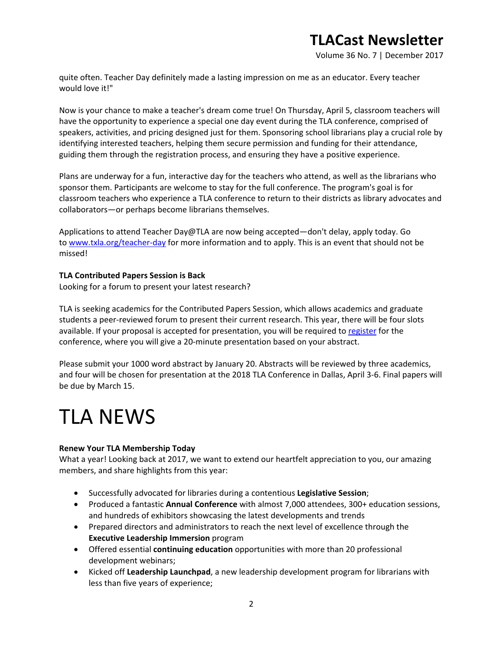Volume 36 No. 7 | December 2017

quite often. Teacher Day definitely made a lasting impression on me as an educator. Every teacher would love it!"

Now is your chance to make a teacher's dream come true! On Thursday, April 5, classroom teachers will have the opportunity to experience a special one day event during the TLA conference, comprised of speakers, activities, and pricing designed just for them. Sponsoring school librarians play a crucial role by identifying interested teachers, helping them secure permission and funding for their attendance, guiding them through the registration process, and ensuring they have a positive experience.

Plans are underway for a fun, interactive day for the teachers who attend, as well as the librarians who sponsor them. Participants are welcome to stay for the full conference. The program's goal is for classroom teachers who experience a TLA conference to return to their districts as library advocates and collaborators—or perhaps become librarians themselves.

Applications to attend Teacher Day@TLA are now being accepted—don't delay, apply today. Go to [www.txla.org/teacher-day](http://www.txla.org/teacher-day) for more information and to apply. This is an event that should not be missed!

## **TLA Contributed Papers Session is Back**

Looking for a forum to present your latest research?

TLA is seeking academics for the Contributed Papers Session, which allows academics and graduate students a peer-reviewed forum to present their current research. This year, there will be four slots available. If your proposal is accepted for presentation, you will be required to [register](http://www.txla.org/annual-conference) for the conference, where you will give a 20-minute presentation based on your abstract.

Please submit your 1000 word abstract by January 20. Abstracts will be reviewed by three academics, and four will be chosen for presentation at the 2018 TLA Conference in Dallas, April 3-6. Final papers will be due by March 15.

# TLA NEWS

## **Renew Your TLA Membership Today**

What a year! Looking back at 2017, we want to extend our heartfelt appreciation to you, our amazing members, and share highlights from this year:

- Successfully advocated for libraries during a contentious **Legislative Session**;
- Produced a fantastic **Annual Conference** with almost 7,000 attendees, 300+ education sessions, and hundreds of exhibitors showcasing the latest developments and trends
- Prepared directors and administrators to reach the next level of excellence through the **Executive Leadership Immersion** program
- Offered essential **continuing education** opportunities with more than 20 professional development webinars;
- Kicked off **Leadership Launchpad**, a new leadership development program for librarians with less than five years of experience;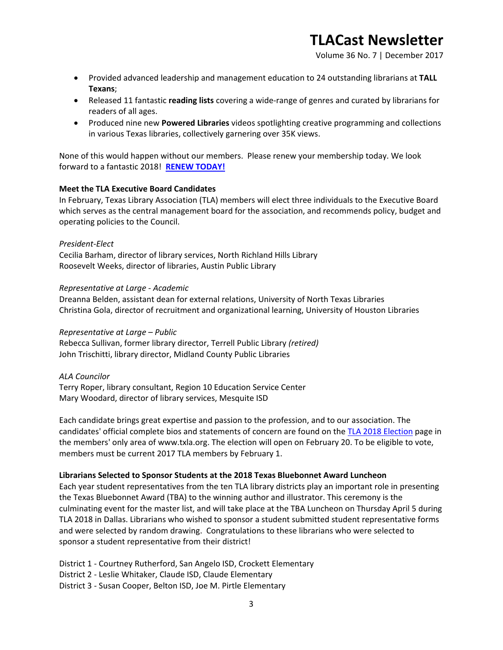Volume 36 No. 7 | December 2017

- Provided advanced leadership and management education to 24 outstanding librarians at **TALL Texans**;
- Released 11 fantastic **reading lists** covering a wide-range of genres and curated by librarians for readers of all ages.
- Produced nine new **Powered Libraries** videos spotlighting creative programming and collections in various Texas libraries, collectively garnering over 35K views.

None of this would happen without our members. Please renew your membership today. We look forward to a fantastic 2018! **[RENEW TODAY!](https://secure.txla.org/secure/membership/memLogin.asp)**

## **Meet the TLA Executive Board Candidates**

In February, Texas Library Association (TLA) members will elect three individuals to the Executive Board which serves as the central management board for the association, and recommends policy, budget and operating policies to the Council.

### *President-Elect*

Cecilia Barham, director of library services, North Richland Hills Library Roosevelt Weeks, director of libraries, Austin Public Library

### *Representative at Large - Academic*

Dreanna Belden, assistant dean for external relations, University of North Texas Libraries Christina Gola, director of recruitment and organizational learning, University of Houston Libraries

### *Representative at Large – Public*

Rebecca Sullivan, former library director, Terrell Public Library *(retired)* John Trischitti, library director, Midland County Public Libraries

## *ALA Councilor*

Terry Roper, library consultant, Region 10 Education Service Center Mary Woodard, director of library services, Mesquite ISD

Each candidate brings great expertise and passion to the profession, and to our association. The candidates' official complete bios and statements of concern are found on the [TLA 2018](https://secure.txla.org/secure/public/nominee/nomDisplay.asp) Election page in the members' only area of www.txla.org. The election will open on February 20. To be eligible to vote, members must be current 2017 TLA members by February 1.

## **Librarians Selected to Sponsor Students at the 2018 Texas Bluebonnet Award Luncheon**

Each year student representatives from the ten TLA library districts play an important role in presenting the Texas Bluebonnet Award (TBA) to the winning author and illustrator. This ceremony is the culminating event for the master list, and will take place at the TBA Luncheon on Thursday April 5 during TLA 2018 in Dallas. Librarians who wished to sponsor a student submitted student representative forms and were selected by random drawing. Congratulations to these librarians who were selected to sponsor a student representative from their district!

District 1 - Courtney Rutherford, San Angelo ISD, Crockett Elementary

District 2 - Leslie Whitaker, Claude ISD, Claude Elementary

District 3 - Susan Cooper, Belton ISD, Joe M. Pirtle Elementary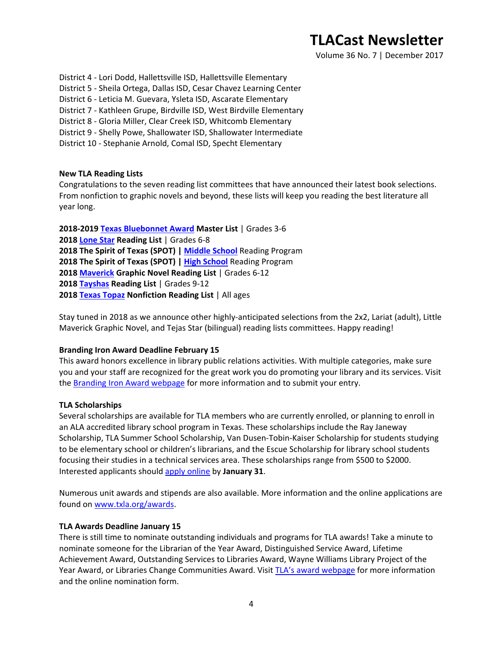Volume 36 No. 7 | December 2017

District 4 - Lori Dodd, Hallettsville ISD, Hallettsville Elementary

- District 5 Sheila Ortega, Dallas ISD, Cesar Chavez Learning Center
- District 6 Leticia M. Guevara, Ysleta ISD, Ascarate Elementary
- District 7 Kathleen Grupe, Birdville ISD, West Birdville Elementary
- District 8 Gloria Miller, Clear Creek ISD, Whitcomb Elementary
- District 9 Shelly Powe, Shallowater ISD, Shallowater Intermediate
- District 10 Stephanie Arnold, Comal ISD, Specht Elementary

### **New TLA Reading Lists**

Congratulations to the seven reading list committees that have announced their latest book selections. From nonfiction to graphic novels and beyond, these lists will keep you reading the best literature all year long.

**2018-2019 [Texas Bluebonnet Award](http://www.txla.org/new-tba-master-list) Master List** | Grades 3-6 **2018 [Lone Star](http://www.txla.org/groups/lone-star) Reading List** | Grades 6-8 **2018 The Spirit of Texas (SPOT) | [Middle School](http://www.txla.org/groups/SpiritofTXMiddleSchool)** Reading Program **2018 The Spirit of Texas (SPOT) | [High School](http://www.txla.org/groups/SpiritofTXHighSchool)** Reading Program **2018 [Maverick](http://www.txla.org/groups/Maverick) Graphic Novel Reading List** | Grades 6-12 **2018 [Tayshas](http://www.txla.org/groups/tayshas) Reading List** | Grades 9-12 **2018 [Texas Topaz](http://www.txla.org/news/2017/12/tla-presents-the-2018-texas-topaz-nonfiction-reading-list) Nonfiction Reading List** | All ages

Stay tuned in 2018 as we announce other highly-anticipated selections from the 2x2, Lariat (adult), Little Maverick Graphic Novel, and Tejas Star (bilingual) reading lists committees. Happy reading!

### **Branding Iron Award Deadline February 15**

This award honors excellence in library public relations activities. With multiple categories, make sure you and your staff are recognized for the great work you do promoting your library and its services. Visit the **Branding Iron Award webpage** for more information and to submit your entry.

### **TLA Scholarships**

Several scholarships are available for TLA members who are currently enrolled, or planning to enroll in an ALA accredited library school program in Texas. These scholarships include the Ray Janeway Scholarship, TLA Summer School Scholarship, Van Dusen-Tobin-Kaiser Scholarship for students studying to be elementary school or children's librarians, and the Escue Scholarship for library school students focusing their studies in a technical services area. These scholarships range from \$500 to \$2000. Interested applicants should [apply online](http://www.txla.org/scholarships) by **January 31**.

Numerous unit awards and stipends are also available. More information and the online applications are found on [www.txla.org/awards.](http://www.txla.org/awards)

### **TLA Awards Deadline January 15**

There is still time to nominate outstanding individuals and programs for TLA awards! Take a minute to nominate someone for the Librarian of the Year Award, Distinguished Service Award, Lifetime Achievement Award, Outstanding Services to Libraries Award, Wayne Williams Library Project of the Year Award, or Libraries Change Communities Award. Visit [TLA's award webpage](http://www.txla.org/awards) for more information and the online nomination form.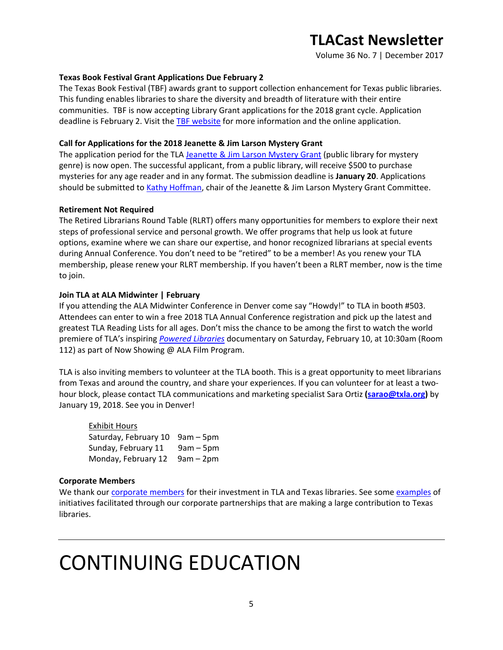Volume 36 No. 7 | December 2017

### **Texas Book Festival Grant Applications Due February 2**

The Texas Book Festival (TBF) awards grant to support collection enhancement for Texas public libraries. This funding enables libraries to share the diversity and breadth of literature with their entire communities. TBF is now accepting Library Grant applications for the 2018 grant cycle. Application deadline is February 2. Visit the [TBF website](https://www.texasbookfestival.org/library-grants/) for more information and the online application.

### **Call for Applications for the 2018 Jeanette & Jim Larson Mystery Grant**

The application period for the TL[A Jeanette & Jim Larson Mystery Grant](http://www.txla.org/sites/tla/files/doc/Larson%20Mystery%20Grant.pdf) (public library for mystery genre) is now open. The successful applicant, from a public library, will receive \$500 to purchase mysteries for any age reader and in any format. The submission deadline is **January 20**. Applications should be submitted to [Kathy Hoffman,](mailto:hoffman.kathy@gmail.com) chair of the Jeanette & Jim Larson Mystery Grant Committee.

### **Retirement Not Required**

The Retired Librarians Round Table (RLRT) offers many opportunities for members to explore their next steps of professional service and personal growth. We offer programs that help us look at future options, examine where we can share our expertise, and honor recognized librarians at special events during Annual Conference. You don't need to be "retired" to be a member! As you renew your TLA membership, please renew your RLRT membership. If you haven't been a RLRT member, now is the time to join.

### **Join TLA at ALA Midwinter | February**

If you attending the ALA Midwinter Conference in Denver come say "Howdy!" to TLA in booth #503. Attendees can enter to win a free 2018 TLA Annual Conference registration and pick up the latest and greatest TLA Reading Lists for all ages. Don't miss the chance to be among the first to watch the world premiere of TLA's inspiring *[Powered Libraries](https://youtu.be/WeYTEQTetBw)* documentary on Saturday, February 10, at 10:30am (Room 112) as part of Now Showing @ ALA Film Program.

TLA is also inviting members to volunteer at the TLA booth. This is a great opportunity to meet librarians from Texas and around the country, and share your experiences. If you can volunteer for at least a twohour block, please contact TLA communications and marketing specialist Sara Ortiz **[\(sarao@txla.org\)](mailto:sarao@txla.org)** by January 19, 2018. See you in Denver!

| <b>Exhibit Hours</b>            |             |
|---------------------------------|-------------|
| Saturday, February 10 9am - 5pm |             |
| Sunday, February 11             | $9am - 5pm$ |
| Monday, February 12             | 9am – 2pm   |

### **Corporate Members**

We thank our [corporate members](http://www.txla.org/cm) for their investment in TLA and Texas libraries. See some [examples](http://www.txla.org/public-relations-campaigns) of initiatives facilitated through our corporate partnerships that are making a large contribution to Texas libraries.

# CONTINUING EDUCATION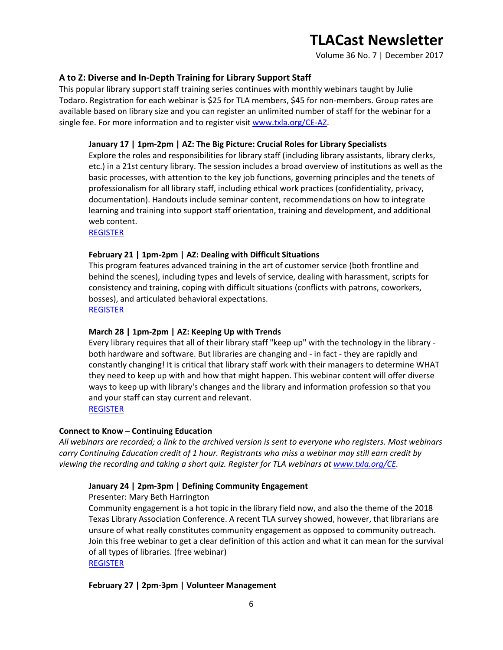Volume 36 No. 7 | December 2017

## **A to Z: Diverse and In-Depth Training for Library Support Staff**

This popular library support staff training series continues with monthly webinars taught by Julie Todaro. Registration for each webinar is \$25 for TLA members, \$45 for non-members. Group rates are available based on library size and you can register an unlimited number of staff for the webinar for a single fee. For more information and to register visi[t www.txla.org/CE-AZ.](http://www.txla.org/CE-AZ)

### **January 17 | 1pm-2pm | AZ: The Big Picture: Crucial Roles for Library Specialists**

Explore the roles and responsibilities for library staff (including library assistants, library clerks, etc.) in a 21st century library. The session includes a broad overview of institutions as well as the basic processes, with attention to the key job functions, governing principles and the tenets of professionalism for all library staff, including ethical work practices (confidentiality, privacy, documentation). Handouts include seminar content, recommendations on how to integrate learning and training into support staff orientation, training and development, and additional web content.

[REGISTER](https://secure.txla.org/secure/forms/mtgLogin.asp)

### **February 21 | 1pm-2pm | AZ: Dealing with Difficult Situations**

This program features advanced training in the art of customer service (both frontline and behind the scenes), including types and levels of service, dealing with harassment, scripts for consistency and training, coping with difficult situations (conflicts with patrons, coworkers, bosses), and articulated behavioral expectations.

[REGISTER](https://secure.txla.org/secure/forms/mtgLogin.asp)

## **March 28 | 1pm-2pm | AZ: Keeping Up with Trends**

Every library requires that all of their library staff "keep up" with the technology in the library both hardware and software. But libraries are changing and - in fact - they are rapidly and constantly changing! It is critical that library staff work with their managers to determine WHAT they need to keep up with and how that might happen. This webinar content will offer diverse ways to keep up with library's changes and the library and information profession so that you and your staff can stay current and relevant. [REGISTER](https://secure.txla.org/secure/forms/mtgLogin.asp)

# **Connect to Know – Continuing Education**

*All webinars are recorded; a link to the archived version is sent to everyone who registers. Most webinars carry Continuing Education credit of 1 hour. Registrants who miss a webinar may still earn credit by viewing the recording and taking a short quiz. Register for TLA webinars at [www.txla.org/CE.](http://www.txla.org/CE)*

## **January 24 | 2pm-3pm | Defining Community Engagement**

Presenter: Mary Beth Harrington

Community engagement is a hot topic in the library field now, and also the theme of the 2018 Texas Library Association Conference. A recent TLA survey showed, however, that librarians are unsure of what really constitutes community engagement as opposed to community outreach. Join this free webinar to get a clear definition of this action and what it can mean for the survival of all types of libraries. (free webinar) [REGISTER](https://secure.txla.org/secure/forms/mtgLogin.asp)

### **February 27 | 2pm-3pm | Volunteer Management**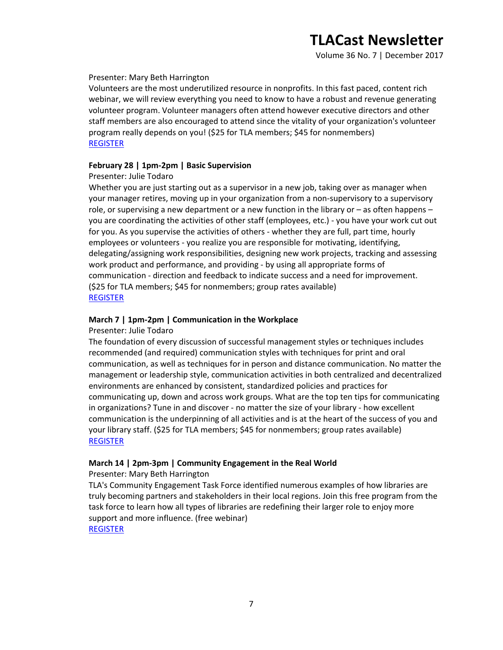Volume 36 No. 7 | December 2017

### Presenter: Mary Beth Harrington

Volunteers are the most underutilized resource in nonprofits. In this fast paced, content rich webinar, we will review everything you need to know to have a robust and revenue generating volunteer program. Volunteer managers often attend however executive directors and other staff members are also encouraged to attend since the vitality of your organization's volunteer program really depends on you! (\$25 for TLA members; \$45 for nonmembers) [REGISTER](https://secure.txla.org/secure/forms/mtgLogin.asp)

### **February 28 | 1pm-2pm | Basic Supervision**

### Presenter: Julie Todaro

Whether you are just starting out as a supervisor in a new job, taking over as manager when your manager retires, moving up in your organization from a non-supervisory to a supervisory role, or supervising a new department or a new function in the library or – as often happens – you are coordinating the activities of other staff (employees, etc.) - you have your work cut out for you. As you supervise the activities of others - whether they are full, part time, hourly employees or volunteers - you realize you are responsible for motivating, identifying, delegating/assigning work responsibilities, designing new work projects, tracking and assessing work product and performance, and providing - by using all appropriate forms of communication - direction and feedback to indicate success and a need for improvement. (\$25 for TLA members; \$45 for nonmembers; group rates available) [REGISTER](https://secure.txla.org/secure/forms/mtgLogin.asp)

# **March 7 | 1pm-2pm | Communication in the Workplace**

### Presenter: Julie Todaro

The foundation of every discussion of successful management styles or techniques includes recommended (and required) communication styles with techniques for print and oral communication, as well as techniques for in person and distance communication. No matter the management or leadership style, communication activities in both centralized and decentralized environments are enhanced by consistent, standardized policies and practices for communicating up, down and across work groups. What are the top ten tips for communicating in organizations? Tune in and discover - no matter the size of your library - how excellent communication is the underpinning of all activities and is at the heart of the success of you and your library staff. (\$25 for TLA members; \$45 for nonmembers; group rates available) [REGISTER](https://secure.txla.org/secure/forms/mtgLogin.asp)

## **March 14 | 2pm-3pm | Community Engagement in the Real World**

Presenter: Mary Beth Harrington

TLA's Community Engagement Task Force identified numerous examples of how libraries are truly becoming partners and stakeholders in their local regions. Join this free program from the task force to learn how all types of libraries are redefining their larger role to enjoy more support and more influence. (free webinar) [REGISTER](https://secure.txla.org/secure/forms/mtgLogin.asp)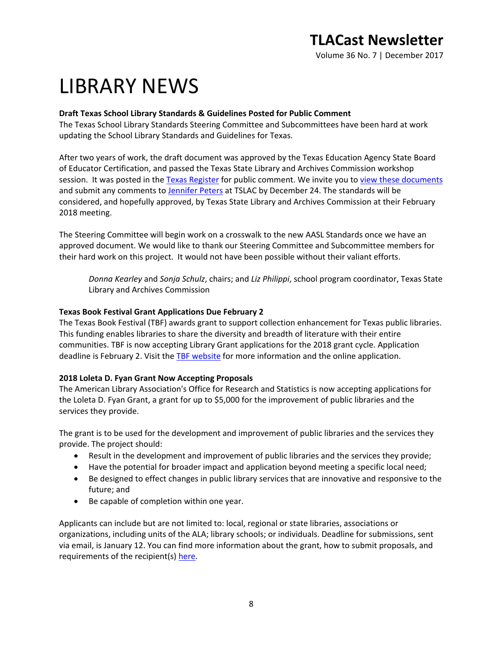Volume 36 No. 7 | December 2017

# LIBRARY NEWS

# **Draft Texas School Library Standards & Guidelines Posted for Public Comment**

The Texas School Library Standards Steering Committee and Subcommittees have been hard at work updating the School Library Standards and Guidelines for Texas.

After two years of work, the draft document was approved by the Texas Education Agency State Board of Educator Certification, and passed the Texas State Library and Archives Commission workshop session. It was posted in th[e Texas Register](https://www.sos.state.tx.us/texreg/pdf/backview/1124/1124is.pdf#search=school%20library%20standards) for public comment. We invite you t[o view these documents](https://www.tsl.texas.gov/sites/default/files/public/tslac/ld/schoollibs/costforstandards/School%20library%20program%20standards%20Final%20Version.pdf) and submit any comments to [Jennifer Peters](mailto:jpeters@tsl.texas.gov) at TSLAC by December 24. The standards will be considered, and hopefully approved, by Texas State Library and Archives Commission at their February 2018 meeting.

The Steering Committee will begin work on a crosswalk to the new AASL Standards once we have an approved document. We would like to thank our Steering Committee and Subcommittee members for their hard work on this project. It would not have been possible without their valiant efforts.

*Donna Kearley* and *Sonja Schulz*, chairs; and *Liz Philippi*, school program coordinator, Texas State Library and Archives Commission

# **Texas Book Festival Grant Applications Due February 2**

The Texas Book Festival (TBF) awards grant to support collection enhancement for Texas public libraries. This funding enables libraries to share the diversity and breadth of literature with their entire communities. TBF is now accepting Library Grant applications for the 2018 grant cycle. Application deadline is February 2. Visit the [TBF website](https://www.texasbookfestival.org/library-grants/) for more information and the online application.

# **2018 Loleta D. Fyan Grant Now Accepting Proposals**

The American Library Association's Office for Research and Statistics is now accepting applications for the Loleta D. Fyan Grant, a grant for up to \$5,000 for the improvement of public libraries and the services they provide.

The grant is to be used for the development and improvement of public libraries and the services they provide. The project should:

- Result in the development and improvement of public libraries and the services they provide;
- Have the potential for broader impact and application beyond meeting a specific local need;
- Be designed to effect changes in public library services that are innovative and responsive to the future; and
- Be capable of completion within one year.

Applicants can include but are not limited to: local, regional or state libraries, associations or organizations, including units of the ALA; library schools; or individuals. Deadline for submissions, sent via email, is January 12. You can find more information about the grant, how to submit proposals, and requirements of the recipient(s) [here.](http://www.ala.org/offices/ors/orsawards/fyanloletad/fyanloletad)